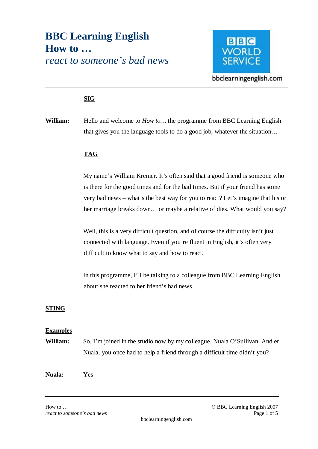# **BBC Learning English How to …**  *react to someone's bad news*



bbclearningenglish.com

# **SIG**

**William:** Hello and welcome to *How to…* the programme from BBC Learning English that gives you the language tools to do a good job, whatever the situation…

## **TAG**

My name's William Kremer. It's often said that a good friend is someone who is there for the good times and for the bad times. But if your friend has some very bad news – what's the best way for you to react? Let's imagine that his or her marriage breaks down… or maybe a relative of dies. What would you say?

Well, this is a very difficult question, and of course the difficulty isn't just connected with language. Even if you're fluent in English, it's often very difficult to know what to say and how to react.

In this programme, I'll be talking to a colleague from BBC Learning English about she reacted to her friend's bad news…

## **STING**

## **Examples**

**William:** So, I'm joined in the studio now by my colleague, Nuala O'Sullivan. And er, Nuala, you once had to help a friend through a difficult time didn't you?

**Nuala:** Yes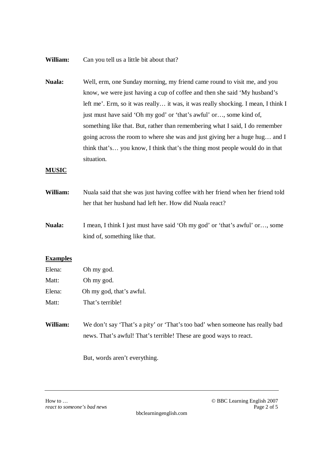#### **William:** Can you tell us a little bit about that?

**Nuala:** Well, erm, one Sunday morning, my friend came round to visit me, and you know, we were just having a cup of coffee and then she said 'My husband's left me'. Erm, so it was really… it was, it was really shocking. I mean, I think I just must have said 'Oh my god' or 'that's awful' or…, some kind of, something like that. But, rather than remembering what I said, I do remember going across the room to where she was and just giving her a huge hug… and I think that's… you know, I think that's the thing most people would do in that situation.

#### **MUSIC**

- **William:** Nuala said that she was just having coffee with her friend when her friend told her that her husband had left her. How did Nuala react?
- **Nuala:** I mean, I think I just must have said 'Oh my god' or 'that's awful' or…, some kind of, something like that.

## **Examples**

| Elena: | Oh my god.               |
|--------|--------------------------|
| Matt:  | Oh my god.               |
| Elena: | Oh my god, that's awful. |
| Matt:  | That's terrible!         |

**William:** We don't say 'That's a pity' or 'That's too bad' when someone has really bad news. That's awful! That's terrible! These are good ways to react.

But, words aren't everything.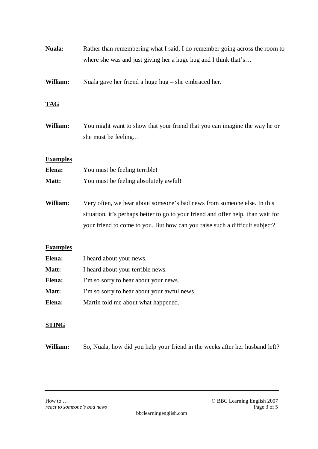| Nuala:          | Rather than remembering what I said, I do remember going across the room to<br>where she was and just giving her a huge hug and I think that's                                                                                              |
|-----------------|---------------------------------------------------------------------------------------------------------------------------------------------------------------------------------------------------------------------------------------------|
|                 |                                                                                                                                                                                                                                             |
| William:        | Nuala gave her friend a huge hug $-$ she embraced her.                                                                                                                                                                                      |
| <b>TAG</b>      |                                                                                                                                                                                                                                             |
| William:        | You might want to show that your friend that you can imagine the way he or<br>she must be feeling                                                                                                                                           |
| <b>Examples</b> |                                                                                                                                                                                                                                             |
| Elena:          | You must be feeling terrible!                                                                                                                                                                                                               |
| Matt:           | You must be feeling absolutely awful!                                                                                                                                                                                                       |
| William:        | Very often, we hear about someone's bad news from someone else. In this<br>situation, it's perhaps better to go to your friend and offer help, than wait for<br>your friend to come to you. But how can you raise such a difficult subject? |
| <b>Examples</b> |                                                                                                                                                                                                                                             |
| Elena:          | I heard about your news.                                                                                                                                                                                                                    |
| Matt:           | I heard about your terrible news.                                                                                                                                                                                                           |
| Elena:          | I'm so sorry to hear about your news.                                                                                                                                                                                                       |
| Matt:           | I'm so sorry to hear about your awful news.                                                                                                                                                                                                 |
| Elena:          | Martin told me about what happened.                                                                                                                                                                                                         |

# **STING**

**William:** So, Nuala, how did you help your friend in the weeks after her husband left?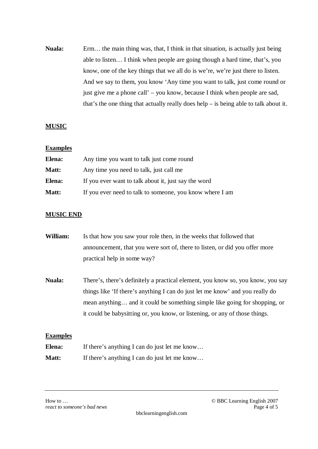**Nuala:** Erm… the main thing was, that, I think in that situation, is actually just being able to listen… I think when people are going though a hard time, that's, you know, one of the key things that we all do is we're, we're just there to listen. And we say to them, you know 'Any time you want to talk, just come round or just give me a phone call' – you know, because I think when people are sad, that's the one thing that actually really does help – is being able to talk about it.

## **MUSIC**

#### **Examples**

| Elena: | Any time you want to talk just come round                |
|--------|----------------------------------------------------------|
| Matt:  | Any time you need to talk, just call me                  |
| Elena: | If you ever want to talk about it, just say the word     |
| Matt:  | If you ever need to talk to someone, you know where I am |

## **MUSIC END**

- **William:** Is that how you saw your role then, in the weeks that followed that announcement, that you were sort of, there to listen, or did you offer more practical help in some way?
- **Nuala:** There's, there's definitely a practical element, you know so, you know, you say things like 'If there's anything I can do just let me know' and you really do mean anything… and it could be something simple like going for shopping, or it could be babysitting or, you know, or listening, or any of those things.

## **Examples**

| Elena: | If there's anything I can do just let me know |
|--------|-----------------------------------------------|
| Matt:  | If there's anything I can do just let me know |